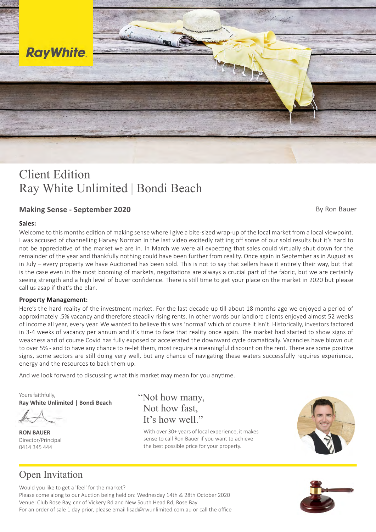

# Client Edition Client Edition Ray White Unlimited | Bondi Beach Ray White Unlimited | Bondi Beach

### **Making Sense - September 2020 By Ron Bauer** By Ron Bauer

### **Sales:**

Welcome to this months edition of making sense where I give a bite-sized wrap-up of the local market from a local viewpoint. I was accused of channelling Harvey Norman in the last video excitedly rattling off some of our sold results but it's hard to not be appreciative of the market we are in. In March we were all expecting that sales could virtually shut down for the in July – every property we have Auctioned has been sold. This is not to say that sellers have it entirely their way, but that is the case even in the most booming of markets, negotiations are always a crucial part of the fabric, but we are certainly mood is reduced to the product of the principal more subdued, perhaps so too the price  $\alpha$  to the price is far from clear if the prices,  $\alpha$  is  $\alpha$  is  $\alpha$  is  $\alpha$  is  $\alpha$  is  $\alpha$  is  $\alpha$  is  $\alpha$  is  $\alpha$  is  $\alpha$  is  $\alpha$ seeing strength and a high level of buyer confidence. There is still time to get your place on the market in 2020 but please remainder of the year and thankfully nothing could have been further from reality. Once again in September as in August as call us asap if that's the plan.<br> $\frac{1}{2}$  most expecting a soon at this point, with most expecting a few months.

### **Property Management:**

Here's the hard reality of the investment market. For the last decade up till about 18 months ago we enjoyed a period of approximately .5% vacancy and therefore steadily rising rents. In other words our landlord clients enjoyed almost 52 weeks of income all year, every year. We wanted to believe this was 'normal' which of course it isn't. Historically, investors factored in 3-4 weeks of vacancy per annum and it's time to face that reality once again. The market had started to show signs of to over 5% - and to have any chance to re-let them, most require a meaningful discount on the rent. There are some positive signs, some sectors are still doing very well, but any chance of navigating these waters successfully requires experience, energy and the resources to back them up. weakness and of course Covid has fully exposed or accelerated the downward cycle dramatically. Vacancies have blown out

And we look forward to discussing what this market may mean for you anytime.

Yours faithfully, Yours faithfully, **Ray White Unlimited | Bondi Beach Ray White Unlimited | Bondi Beach**

Director/Principal Director/Principal 0414 345 444 0414 345 444 **RON BAUER RON BAUER**

It's how well." "Not how many, "Not how many, Not how fast, Not how fast,

With over 30+ years of local experience, it makes sense to call Ron Bauer if you want to achieve the best possible price for your property.



## Open Invitation Open Invitation

Would you like to get a 'feel' for the market? Would you like to get a 'feel' for the market? Venue: Club Rose Bay, cnr of Vickery Rd and New South Head Rd, Rose Bay Please come along to our Auction being held on: Wednesday 14th & 28th October 2020 For an order of sale 1 day prior, please email lisad@rwunlimited.com.au or call the office